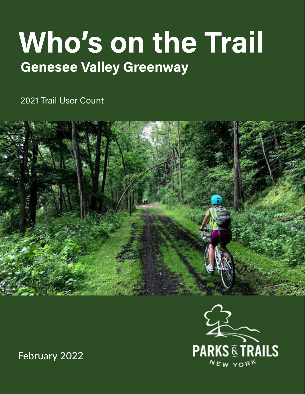# Who's on the Trail Genesee Valley Greenway

2021 Trail User Count



**PARKS & TRAILS WHO'S ON THE TRAIL: GENESEE VALLEY GREENWAY 2021 1**

February 2022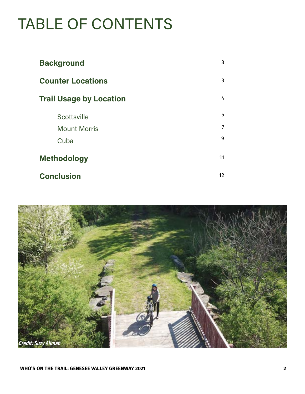# TABLE OF CONTENTS

| <b>Background</b>              | 3  |
|--------------------------------|----|
| <b>Counter Locations</b>       | 3  |
| <b>Trail Usage by Location</b> | 4  |
| Scottsville                    | 5  |
| <b>Mount Morris</b>            | 7  |
| Cuba                           | 9  |
| <b>Methodology</b>             | 11 |
| <b>Conclusion</b>              | 12 |

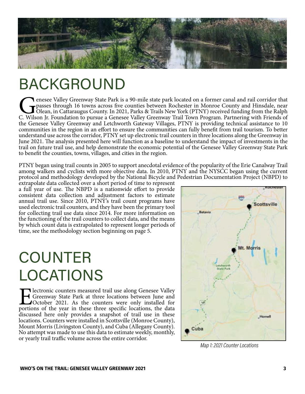

#### BACKGROUND

Genesee Valley Greenway State Park is a 90-mile state park located on a former canal and rail corridor that passes through 16 towns across five counties between Rochester in Monroe County and Hinsdale, near Olean, in Catta passes through 16 towns across five counties between Rochester in Monroe County and Hinsdale, near Olean, in Cattaraugus County. In 2021, Parks & Trails New York (PTNY) received funding from the Ralph the Genesee Valley Greenway and Letchworth Gateway Villages, PTNY is providing technical assistance to 10 communities in the region in an effort to ensure the communities can fully benefit from trail tourism. To better understand use across the corridor, PTNY set up electronic trail counters in three locations along the Greenway in June 2021. The analysis presented here will function as a baseline to understand the impact of investments in the trail on future trail use, and help demonstrate the economic potential of the Genesee Valley Greenway State Park to benefit the counties, towns, villages, and cities in the region.

PTNY began using trail counts in 2005 to support anecdotal evidence of the popularity of the Erie Canalway Trail among walkers and cyclists with more objective data. In 2010, PTNY and the NYSCC began using the current protocol and methodology developed by the National Bicycle and Pedestrian Documentation Project (NBPD) to

extrapolate data collected over a short period of time to represent a full year of use. The NBPD is a nationwide effort to provide consistent data collection and adjustment factors to estimate annual trail use. Since 2010, PTNY's trail count programs have used electronic trail counters, and they have been the primary tool for collecting trail use data since 2014. For more information on the functioning of the trail counters to collect data, and the means by which count data is extrapolated to represent longer periods of time, see the methodology section beginning on page 5.

# COUNTER LOCATIONS

**Electronic counters measured trail use along Genesee Valley** Greenway State Park at three locations between June and October 2021. As the counters were only installed for portions of the year in these three specific locat Greenway State Park at three locations between June and October 2021. As the counters were only installed for discussed here only provides a snapshot of trail use in these locations. Counters were installed in Scottsville (Monroe County), Mount Morris (Livingston County), and Cuba (Allegany County). No attempt was made to use this data to estimate weekly, monthly, or yearly trail traffic volume across the entire corridor.



Map 1: 2021 Counter Locations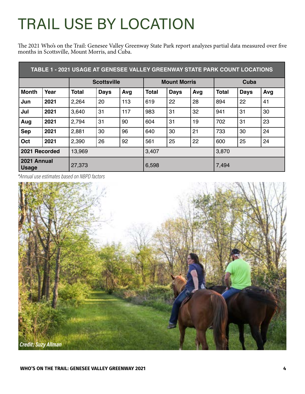# TRAIL USE BY LOCATION

The 2021 Who's on the Trail: Genesee Valley Greenway State Park report analyzes partial data measured over five months in Scottsville, Mount Morris, and Cuba.

| TABLE 1 - 2021 USAGE AT GENESEE VALLEY GREENWAY STATE PARK COUNT LOCATIONS |      |                    |      |                     |              |             |      |              |             |     |
|----------------------------------------------------------------------------|------|--------------------|------|---------------------|--------------|-------------|------|--------------|-------------|-----|
|                                                                            |      | <b>Scottsville</b> |      | <b>Mount Morris</b> |              |             | Cuba |              |             |     |
| <b>Month</b>                                                               | Year | <b>Total</b>       | Days | Avg                 | <b>Total</b> | <b>Days</b> | Avg  | <b>Total</b> | <b>Days</b> | Avg |
| Jun                                                                        | 2021 | 2,264              | 20   | 113                 | 619          | 22          | 28   | 894          | 22          | 41  |
| Jul                                                                        | 2021 | 3,640              | 31   | 117                 | 983          | 31          | 32   | 941          | 31          | 30  |
| Aug                                                                        | 2021 | 2,794              | 31   | 90                  | 604          | 31          | 19   | 702          | 31          | 23  |
| <b>Sep</b>                                                                 | 2021 | 2,881              | 30   | 96                  | 640          | 30          | 21   | 733          | 30          | 24  |
| Oct                                                                        | 2021 | 2,390              | 26   | 92                  | 561          | 25          | 22   | 600          | 25          | 24  |
| 2021 Recorded                                                              |      | 13,969             |      |                     | 3,407        |             |      | 3,870        |             |     |
| 2021 Annual<br><b>Usage</b>                                                |      | 27,373             |      |                     | 6,598        |             |      | 7,494        |             |     |

\*Annual use estimates based on NBPD factors

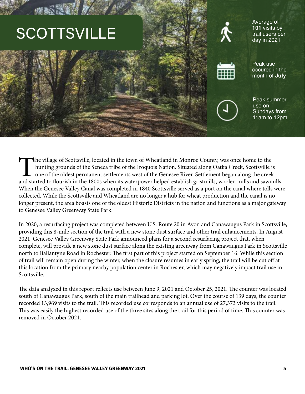# **SCOTTSVILLE**





occured in the month of **July**

Peak use



Peak summer use on Sundays from 11am to 12pm

The village of Scottsville, located in the town of Wheatland in Monroe County, was once home to the hunting grounds of the Seneca tribe of the Iroquois Nation. Situated along Oatka Creek, Scottsville is one of the oldest p hunting grounds of the Seneca tribe of the Iroquois Nation. Situated along Oatka Creek, Scottsville is one of the oldest permanent settlements west of the Genesee River. Settlement began along the creek and started to flourish in the 1800s when its waterpower helped establish gristmills, woolen mills and sawmills. When the Genesee Valley Canal was completed in 1840 Scottsville served as a port on the canal where tolls were collected. While the Scottsville and Wheatland are no longer a hub for wheat production and the canal is no longer present, the area boasts one of the oldest Historic Districts in the nation and functions as a major gateway to Genesee Valley Greenway State Park.

In 2020, a resurfacing project was completed between U.S. Route 20 in Avon and Canawaugus Park in Scottsville, providing this 8-mile section of the trail with a new stone dust surface and other trail enhancements. In August 2021, Genesee Valley Greenway State Park announced plans for a second resurfacing project that, when complete, will provide a new stone dust surface along the existing greenway from Canawaugus Park in Scottsville north to Ballantyne Road in Rochester. The first part of this project started on September 16. While this section of trail will remain open during the winter, when the closure resumes in early spring, the trail will be cut off at this location from the primary nearby population center in Rochester, which may negatively impact trail use in Scottsville.

The data analyzed in this report reflects use between June 9, 2021 and October 25, 2021. The counter was located south of Canawaugus Park, south of the main trailhead and parking lot. Over the course of 139 days, the counter recorded 13,969 visits to the trail. This recorded use corresponds to an annual use of 27,373 visits to the trail. This was easily the highest recorded use of the three sites along the trail for this period of time. This counter was removed in October 2021.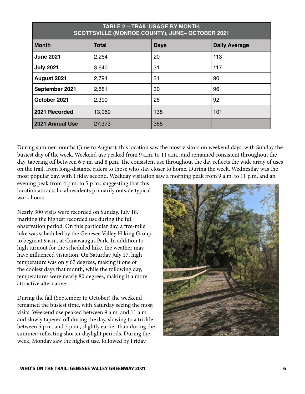| TABLE 2 - TRAIL USAGE BY MONTH,<br>SCOTTSVILLE (MONROE COUNTY), JUNE- OCTOBER 2021 |              |             |                      |
|------------------------------------------------------------------------------------|--------------|-------------|----------------------|
| <b>Month</b>                                                                       | <b>Total</b> | <b>Days</b> | <b>Daily Average</b> |
| <b>June 2021</b>                                                                   | 2,264        | 20          | 113                  |
| <b>July 2021</b>                                                                   | 3,640        | 31          | 117                  |
| August 2021                                                                        | 2,794        | 31          | 90                   |
| September 2021                                                                     | 2,881        | 30          | 96                   |
| October 2021                                                                       | 2,390        | 26          | 92                   |
| 2021 Recorded                                                                      | 13,969       | 138         | 101                  |
| 2021 Annual Use                                                                    | 27,373       | 365         |                      |

During summer months (June to August), this location saw the most visitors on weekend days, with Sunday the busiest day of the week. Weekend use peaked from 9 a.m. to 11 a.m., and remained consistent throughout the day, tapering off between 6 p.m. and 8 p.m. The consistent use throughout the day reflects the wide array of uses on the trail, from long-distance riders to those who stay closer to home. During the week, Wednesday was the most popular day, with Friday second. Weekday visitation saw a morning peak from 9 a.m. to 11 p.m. and an

evening peak from 4 p.m. to 5 p.m., suggesting that this location attracts local residents primarily outside typical work hours.

Nearly 300 visits were recorded on Sunday, July 18, marking the highest recorded use during the full observation period. On this particular day, a five-mile hike was scheduled by the Genesee Valley Hiking Group, to begin at 9 a.m. at Canawaugus Park. In addition to high turnout for the scheduled hike, the weather may have influenced visitation. On Saturday July 17, high temperature was only 67 degrees, making it one of the coolest days that month, while the following day, temperatures were nearly 80 degrees, making it a more attractive alternative.

During the fall (September to October) the weekend remained the busiest time, with Saturday seeing the most visits. Weekend use peaked between 9 a.m. and 11 a.m. and slowly tapered off during the day, slowing to a trickle between 5 p.m. and 7 p.m., slightly earlier than during the summer; reflecting shorter daylight periods. During the week, Monday saw the highest use, followed by Friday.

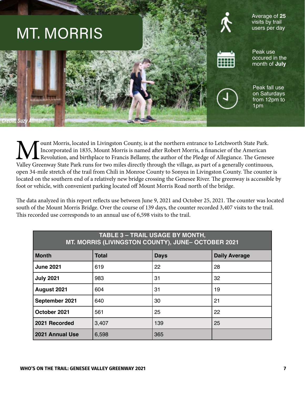

Mount Morris, located in Livingston County, is at the northern entrance to Letchworth State Park.<br>Incorporated in 1835, Mount Morris is named after Robert Morris, a financier of the American<br>Revolution, and birthplace to F Incorporated in 1835, Mount Morris is named after Robert Morris, a financier of the American Revolution, and birthplace to Francis Bellamy, the author of the Pledge of Allegiance. The Genesee Valley Greenway State Park runs for two miles directly through the village, as part of a generally continuous, open 34-mile stretch of the trail from Chili in Monroe County to Sonyea in Livingston County. The counter is located on the southern end of a relatively new bridge crossing the Genesee River. The greenway is accessible by foot or vehicle, with convenient parking located off Mount Morris Road north of the bridge.

The data analyzed in this report reflects use between June 9, 2021 and October 25, 2021. The counter was located south of the Mount Morris Bridge. Over the course of 139 days, the counter recorded 3,407 visits to the trail. This recorded use corresponds to an annual use of 6,598 visits to the trail.

| <b>TABLE 3 - TRAIL USAGE BY MONTH,</b><br>MT. MORRIS (LIVINGSTON COUNTY), JUNE- OCTOBER 2021 |              |             |                      |
|----------------------------------------------------------------------------------------------|--------------|-------------|----------------------|
| <b>Month</b>                                                                                 | <b>Total</b> | <b>Days</b> | <b>Daily Average</b> |
| <b>June 2021</b>                                                                             | 619          | 22          | 28                   |
| <b>July 2021</b>                                                                             | 983          | 31          | 32                   |
| August 2021                                                                                  | 604          | 31          | 19                   |
| September 2021                                                                               | 640          | 30          | 21                   |
| October 2021                                                                                 | 561          | 25          | 22                   |
| 2021 Recorded                                                                                | 3,407        | 139         | 25                   |
| 2021 Annual Use                                                                              | 6,598        | 365         |                      |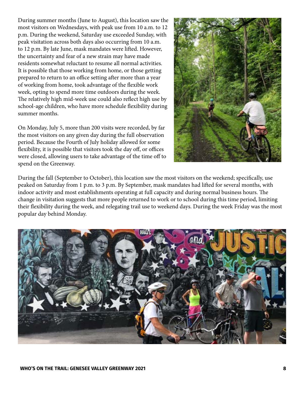During summer months (June to August), this location saw the most visitors on Wednesdays, with peak use from 10 a.m. to 12 p.m. During the weekend, Saturday use exceeded Sunday, with peak visitation across both days also occurring from 10 a.m. to 12 p.m. By late June, mask mandates were lifted. However, the uncertainty and fear of a new strain may have made residents somewhat reluctant to resume all normal activities. It is possible that those working from home, or those getting prepared to return to an office setting after more than a year of working from home, took advantage of the flexible work week, opting to spend more time outdoors during the week. The relatively high mid-week use could also reflect high use by school-age children, who have more schedule flexibility during summer months.

On Monday, July 5, more than 200 visits were recorded, by far the most visitors on any given day during the full observation period. Because the Fourth of July holiday allowed for some flexibility, it is possible that visitors took the day off, or offices were closed, allowing users to take advantage of the time off to spend on the Greenway.



During the fall (September to October), this location saw the most visitors on the weekend; specifically, use peaked on Saturday from 1 p.m. to 3 p.m. By September, mask mandates had lifted for several months, with indoor activity and most establishments operating at full capacity and during normal business hours. The change in visitation suggests that more people returned to work or to school during this time period, limiting their flexibility during the week, and relegating trail use to weekend days. During the week Friday was the most popular day behind Monday.

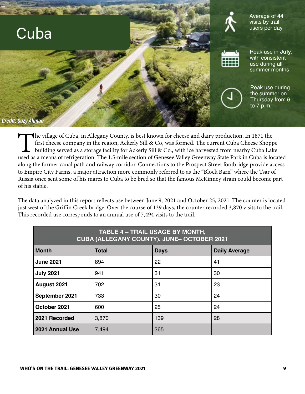

The village of Cuba, in Allegany County, is best known for cheese and dairy production. In 1871 the<br>first cheese company in the region, Ackerly Sill & Co, was formed. The current Cuba Cheese Shopp<br>building served as a stor first cheese company in the region, Ackerly Sill & Co, was formed. The current Cuba Cheese Shoppe building served as a storage facility for Ackerly Sill & Co., with ice harvested from nearby Cuba Lake used as a means of refrigeration. The 1.5-mile section of Genesee Valley Greenway State Park in Cuba is located along the former canal path and railway corridor. Connections to the Prospect Street footbridge provide access to Empire City Farms, a major attraction more commonly referred to as the "Block Barn" where the Tsar of Russia once sent some of his mares to Cuba to be bred so that the famous McKinney strain could become part of his stable.

The data analyzed in this report reflects use between June 9, 2021 and October 25, 2021. The counter is located just west of the Griffin Creek bridge. Over the course of 139 days, the counter recorded 3,870 visits to the trail. This recorded use corresponds to an annual use of 7,494 visits to the trail.

| <b>TABLE 4 - TRAIL USAGE BY MONTH,</b><br><b>CUBA (ALLEGANY COUNTY), JUNE- OCTOBER 2021</b> |              |             |                      |
|---------------------------------------------------------------------------------------------|--------------|-------------|----------------------|
| <b>Month</b>                                                                                | <b>Total</b> | <b>Days</b> | <b>Daily Average</b> |
| <b>June 2021</b>                                                                            | 894          | 22          | 41                   |
| <b>July 2021</b>                                                                            | 941          | 31          | 30                   |
| August 2021                                                                                 | 702          | 31          | 23                   |
| September 2021                                                                              | 733          | 30          | 24                   |
| October 2021                                                                                | 600          | 25          | 24                   |
| 2021 Recorded                                                                               | 3,870        | 139         | 28                   |
| 2021 Annual Use                                                                             | 7,494        | 365         |                      |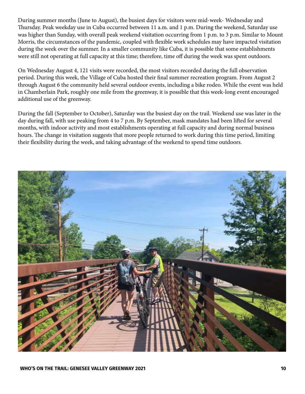During summer months (June to August), the busiest days for visitors were mid-week- Wednesday and Thursday. Peak weekday use in Cuba occurred between 11 a.m. and 1 p.m. During the weekend, Saturday use was higher than Sunday, with overall peak weekend visitation occurring from 1 p.m. to 3 p.m. Similar to Mount Morris, the circumstances of the pandemic, coupled with flexible work schedules may have impacted visitation during the week over the summer. In a smaller community like Cuba, it is possible that some establishments were still not operating at full capacity at this time; therefore, time off during the week was spent outdoors.

On Wednesday August 4, 121 visits were recorded, the most visitors recorded during the full observation period. During this week, the Village of Cuba hosted their final summer recreation program. From August 2 through August 6 the community held several outdoor events, including a bike rodeo. While the event was held in Chamberlain Park, roughly one mile from the greenway, it is possible that this week-long event encouraged additional use of the greenway.

During the fall (September to October), Saturday was the busiest day on the trail. Weekend use was later in the day during fall, with use peaking from 4 to 7 p.m. By September, mask mandates had been lifted for several months, with indoor activity and most establishments operating at full capacity and during normal business hours. The change in visitation suggests that more people returned to work during this time period, limiting their flexibility during the week, and taking advantage of the weekend to spend time outdoors.

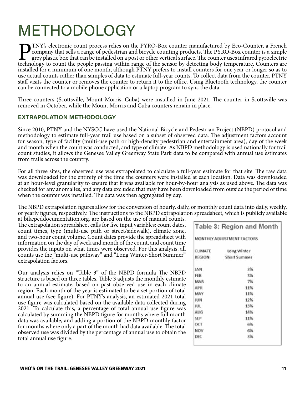# METHODOLOGY

PTNY's electronic count process relies on the PYRO-Box counter manufactured by Eco-Counter, a French company that sells a range of pedestrian and bicycle counting products. The PYRO-Box counter is a simple grey plastic box that can be installed on a post or other vertical surface. The counter uses infrared pyroelectric technology to count the people passing within range of the sensor by detecting body temperature. Counters are installed for a minimum of one month, although PTNY prefers to install counters for one year or longer so as to use actual counts rather than samples of data to estimate full-year counts. To collect data from the counter, PTNY staff visits the counter or removes the counter to return it to the office. Using Bluetooth technology, the counter can be connected to a mobile phone application or a laptop program to sync the data.

Three counters (Scottsville, Mount Morris, Cuba) were installed in June 2021. The counter in Scottsville was removed in October, while the Mount Morris and Cuba counters remain in place.

#### EXTRAPOLATION METHODOLOGY

Since 2010, PTNY and the NYSCC have used the National Bicycle and Pedestrian Project (NBPD) protocol and methodology to estimate full-year trail use based on a subset of observed data. The adjustment factors account for season, type of facility (multi-use path or high-density pedestrian and entertainment area), day of the week and month when the count was conducted, and type of climate. As NBPD methodology is used nationally for trail count studies, it allows the Genesee Valley Greenway State Park data to be compared with annual use estimates from trails across the country.

For all three sites, the observed use was extrapolated to calculate a full-year estimate for that site. The raw data was downloaded for the entirety of the time the counters were installed at each location. Data was downloaded at an hour-level granularity to ensure that it was available for hour-by-hour analysis as used above. The data was checked for any anomalies, and any data excluded that may have been downloaded from outside the period of time when the counter was installed. The data was then aggregated by day.

The NBPD extrapolation figures allow for the conversion of hourly, daily, or monthly count data into daily, weekly, or yearly figures, respectively. The instructions to the NBPD extrapolation spreadsheet, which is publicly available

at bikepeddocumentation.org, are based on the use of manual counts. The extrapolation spreadsheet calls for five input variables: count dates, count times, type (multi-use path or street/sidewalk), climate zone, and two-hour count volume. Count dates provide the spreadsheet with information on the day of week and month of the count, and count time provides the inputs on what times were observed. For this analysis, all counts use the "multi-use pathway" and "Long Winter-Short Summer" extrapolation factors.

Our analysis relies on "Table 3" of the NBPD formula The NBPD structure is based on three tables. Table 3 adjusts the monthly estimate to an annual estimate, based on past observed use in each climate region. Each month of the year is estimated to be a set portion of total annual use (see figure). For PTNY's analysis, an estimated 2021 total use figure was calculated based on the available data collected during 2021. To calculate this, a percentage of total annual use figure was calculated by summing the NBPD figure for months where full month data was available, and adding a portion of the NBPD monthly factor for months where only a part of the month had data available. The total observed use was divided by the percentage of annual use to obtain the total annual use figure.

|               | Table 3: Region and Month  |
|---------------|----------------------------|
|               | MONTHLY ADJUSTMENT FACTORS |
| CLIMATE       | Long Winter                |
| <b>REGION</b> | Short Summer               |
| 1AN           | 356                        |
| FEB           | 3%                         |
| MAR           | 7%                         |
| <b>APR</b>    | 11%                        |
| MAY           | 11%                        |
| JUN           | 12%                        |
| JUL           | 13%                        |
| AUG           | 14%                        |
| 5EP           | 11%                        |
| OCT           | 6%                         |
| NOV           | 6%                         |
| D€€           | 3%                         |